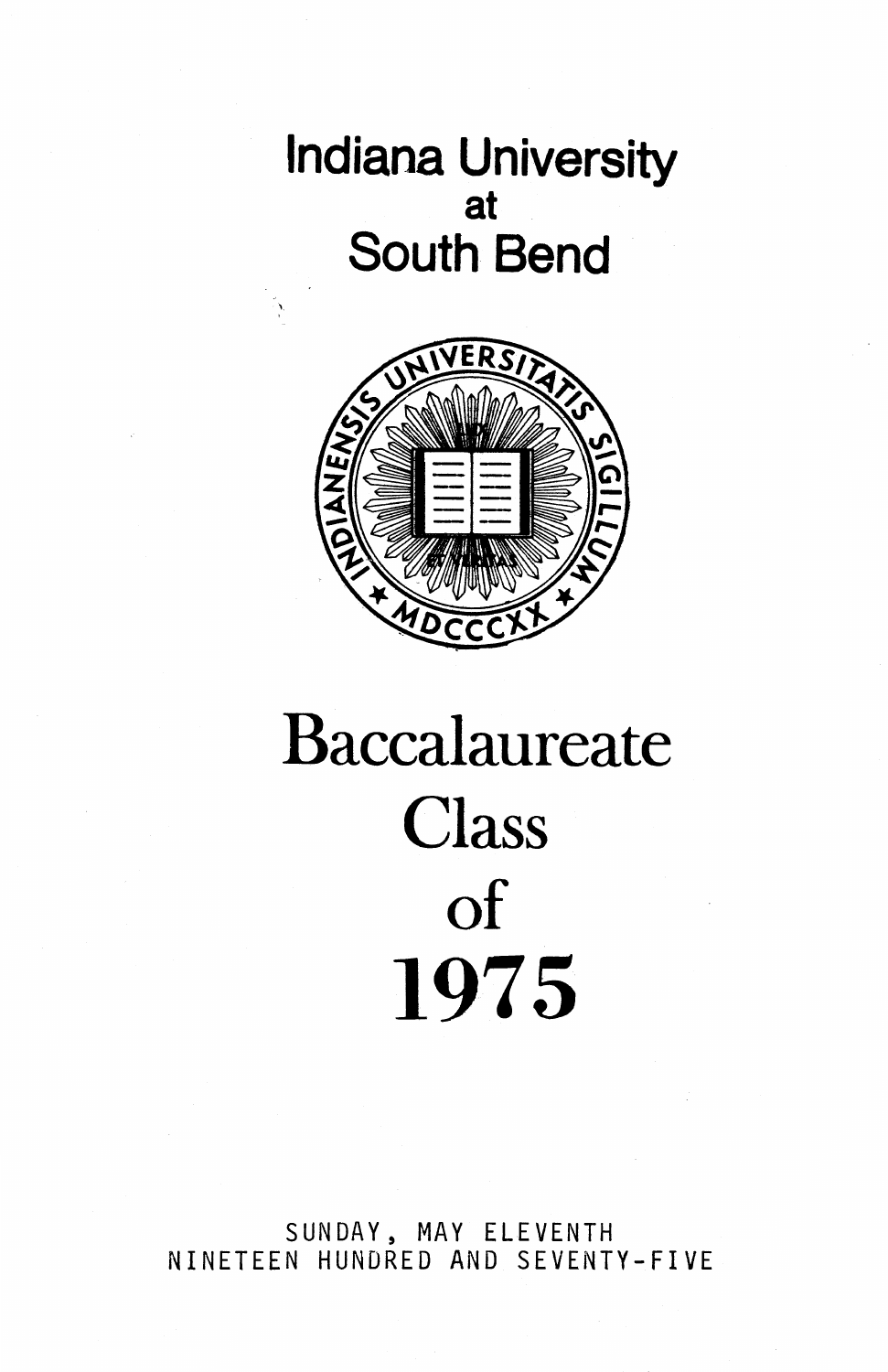## **Indiana University at South Bend**



# **Baccalaureate Class of 1975**

SUNDAY, MAY ELEVENTH NINETEEN HUNDRED AND SEVENTY-FIVE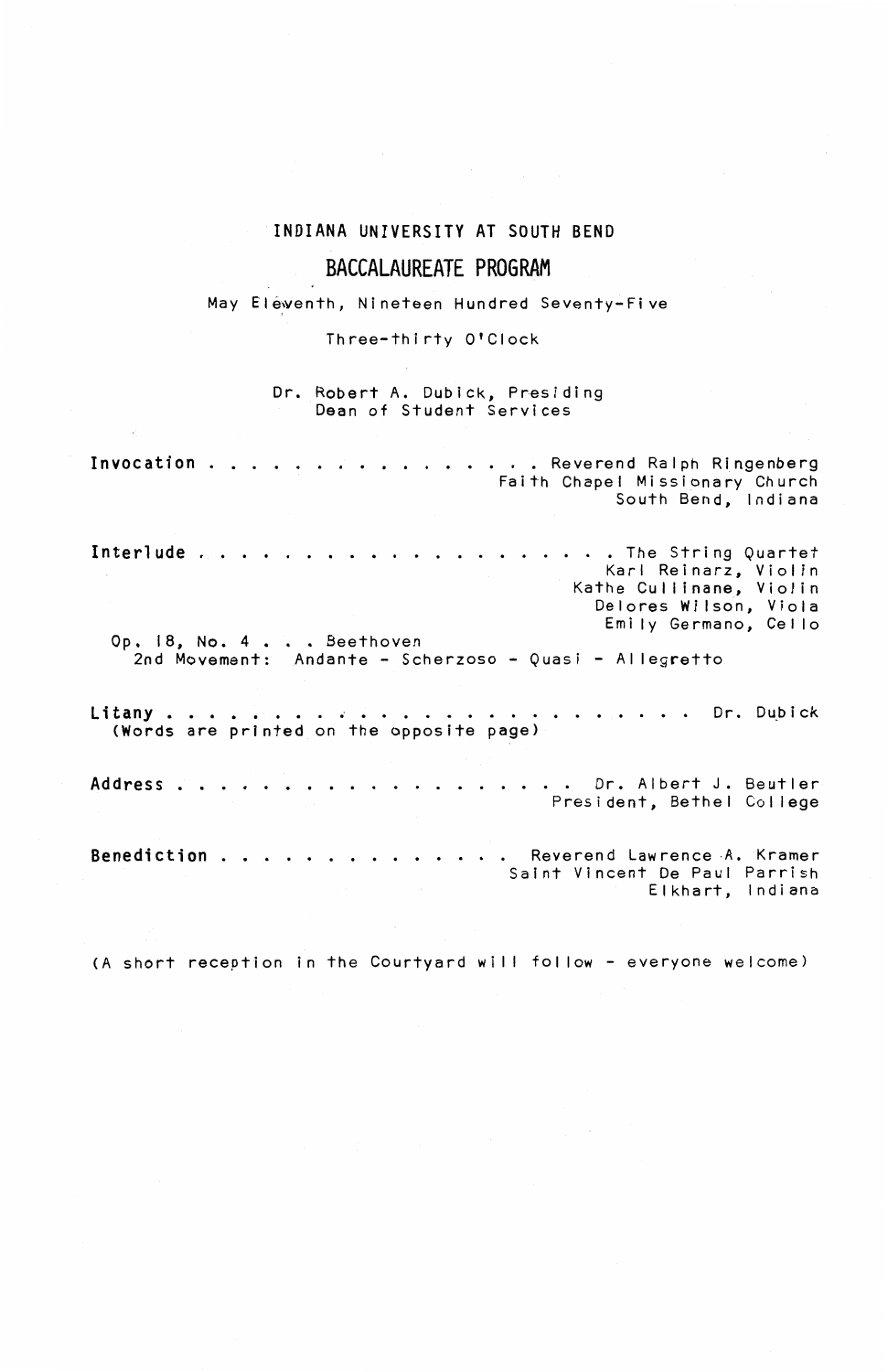#### INDIANA UNIVERSITY AT SOUTH BEND

### BACCALAUREATE PROGRAM

May Eleventh, Nineteen Hundred Seventy-Five

Three-thirty O'Clock

Dr. Robert A. Dubick, Presiding Dean of Student Services

Invocation ................ Reverend Ralph Ringenberg Faith Chapel Missionary Church South Bend, Indiana

Interlude .................... The String Quartet Karl Reinarz, Violin<br>Kathe Cullinane, Violin Delores Wilson, Viola<br>Emily Germano, Cello

Op. I8, No. 4 . . . Beethoven<br>2nd Movement: Andante – Scherzoso – Quasi – Allegretto

Litany • . ...... . Dr. Dub i ck (Words are printed on the opposite page)

Address . . . . . . . . . . . . . . . . . Dr. Albert J. Beutler President, Bethel College

Benediction . . . . . . . . . . . . . Reverend Lawrence A. Kramer Saint Vincent De Paul Parrish Elkhart, Indiana

(A short reception in the Courtyard wi II follow- everyone welcome)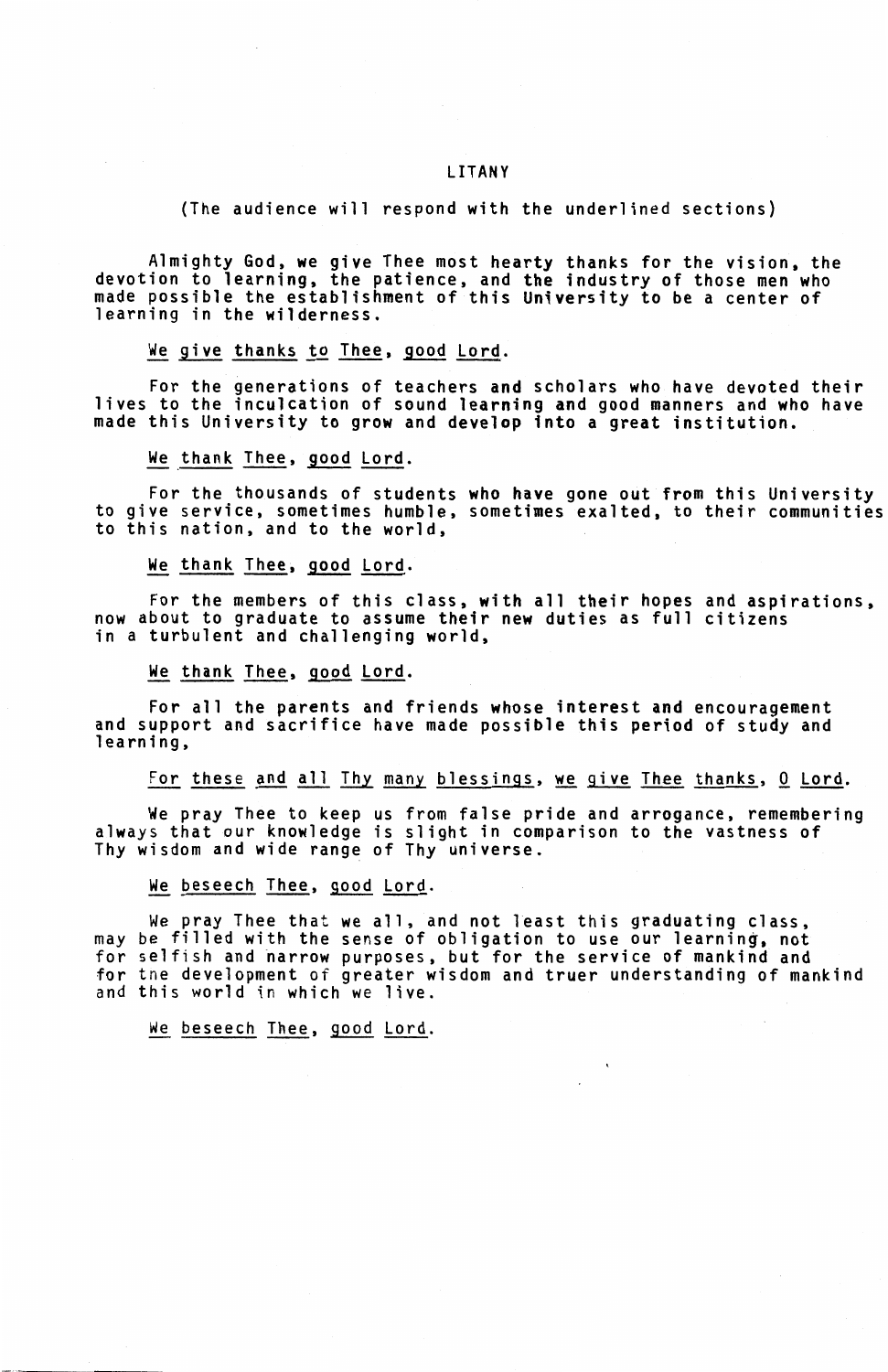#### LITANY

(The audience will respond with the underlined sections)

Almighty God, we give Thee most hearty thanks for the vision, the devotion to learning, the patience, and the industry of those men who made possible the establishment of this University to be a center of learning in the wilderness.

We give thanks to Thee, good Lord.

For the generations of teachers and scholars who have devoted their lives to the inculcation of sound learning and good manners and who have made this University to grow and develop into a great institution.

We thank Thee, good Lord.

For the thousands of students who have gone out from this University to give service, sometimes humble, sometimes exalted, to their communities to this nation, and to the world,

We thank Thee, good Lord.

For the members of this class, with all their hopes and aspirations, now about to graduate to assume their new duties as full citizens in a turbulent and challenging world,

We thank Thee, good Lord.

For all the parents and friends whose interest and encouragement and support and sacrifice have made possible this period of study and learning,

For these and all Thy many blessings, we give Thee thanks, <u>O</u> Lord.

We pray Thee to keep us from false pride and arrogance, remembering always that our knowledge is slight in comparison to the vastness of Thy wisdom and wide range of Thy universe.

We beseech Thee, good Lord.

We pray Thee that we all, and not l~ast this graduating class, may be filled with the sense of obligation to use our learning, not for selfish and narrow purposes, but for the service of mankind and<br>for the development of greater wisdom and truer understanding of mankind<br>and this world in which we live.

We beseech Thee, good Lord.